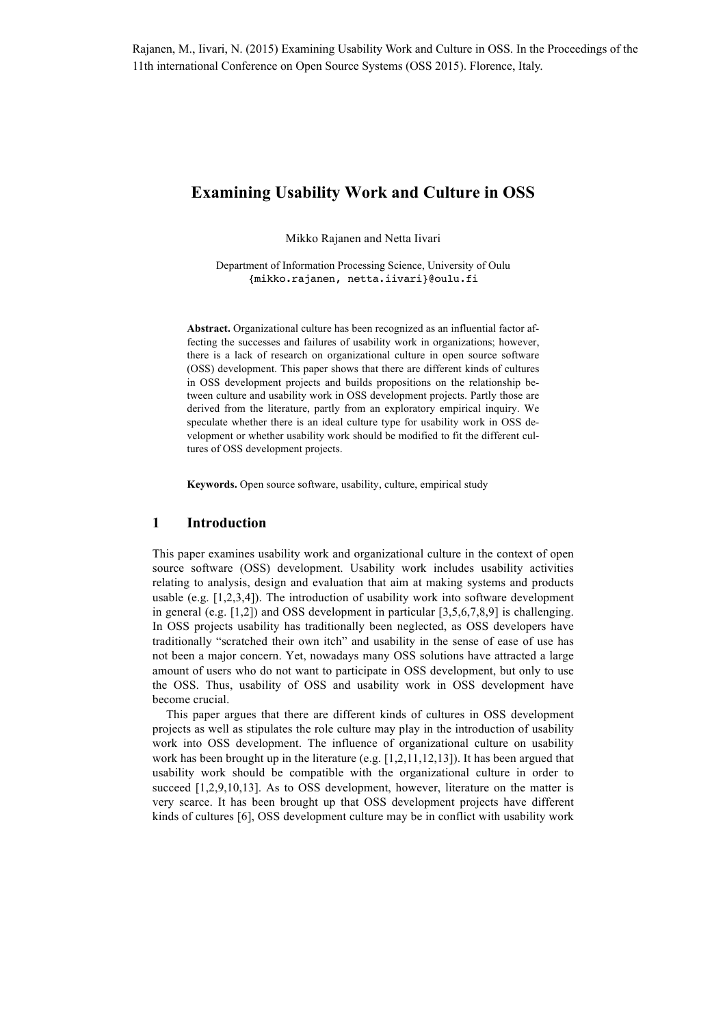# **Examining Usability Work and Culture in OSS**

Mikko Rajanen and Netta Iivari

Department of Information Processing Science, University of Oulu {mikko.rajanen, netta.iivari}@oulu.fi

**Abstract.** Organizational culture has been recognized as an influential factor affecting the successes and failures of usability work in organizations; however, there is a lack of research on organizational culture in open source software (OSS) development. This paper shows that there are different kinds of cultures in OSS development projects and builds propositions on the relationship between culture and usability work in OSS development projects. Partly those are derived from the literature, partly from an exploratory empirical inquiry. We speculate whether there is an ideal culture type for usability work in OSS development or whether usability work should be modified to fit the different cultures of OSS development projects.

**Keywords.** Open source software, usability, culture, empirical study

#### **1 Introduction**

This paper examines usability work and organizational culture in the context of open source software (OSS) development. Usability work includes usability activities relating to analysis, design and evaluation that aim at making systems and products usable (e.g.  $[1,2,3,4]$ ). The introduction of usability work into software development in general (e.g. [1,2]) and OSS development in particular [3,5,6,7,8,9] is challenging. In OSS projects usability has traditionally been neglected, as OSS developers have traditionally "scratched their own itch" and usability in the sense of ease of use has not been a major concern. Yet, nowadays many OSS solutions have attracted a large amount of users who do not want to participate in OSS development, but only to use the OSS. Thus, usability of OSS and usability work in OSS development have become crucial.

This paper argues that there are different kinds of cultures in OSS development projects as well as stipulates the role culture may play in the introduction of usability work into OSS development. The influence of organizational culture on usability work has been brought up in the literature (e.g.  $[1,2,11,12,13]$ ). It has been argued that usability work should be compatible with the organizational culture in order to succeed [1,2,9,10,13]. As to OSS development, however, literature on the matter is very scarce. It has been brought up that OSS development projects have different kinds of cultures [6], OSS development culture may be in conflict with usability work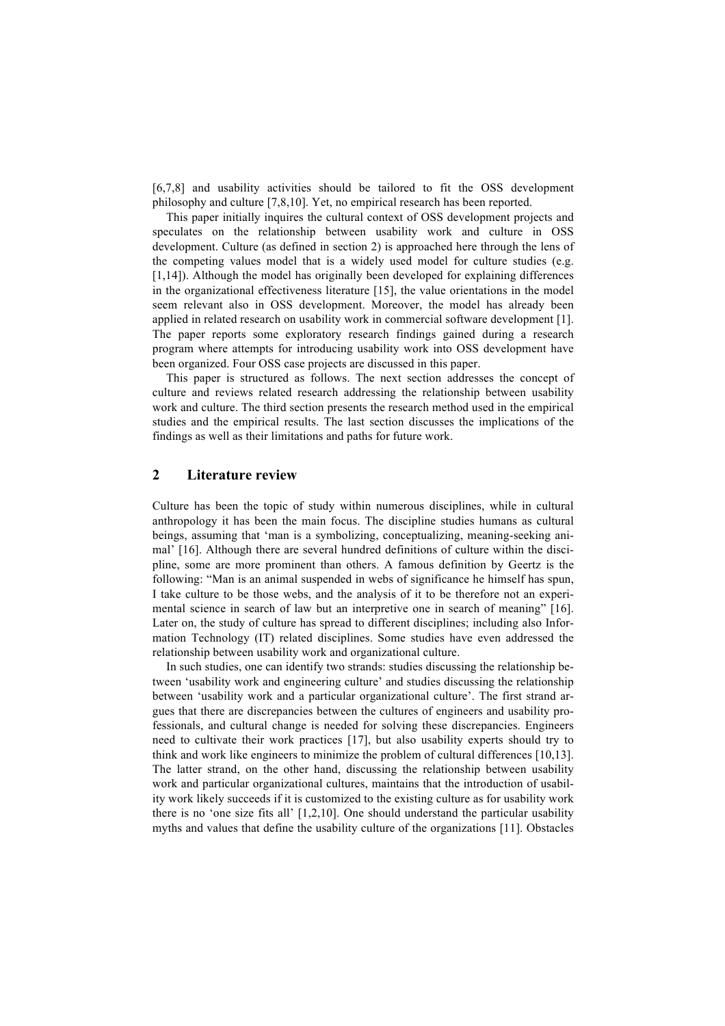[6,7,8] and usability activities should be tailored to fit the OSS development philosophy and culture [7,8,10]. Yet, no empirical research has been reported.

This paper initially inquires the cultural context of OSS development projects and speculates on the relationship between usability work and culture in OSS development. Culture (as defined in section 2) is approached here through the lens of the competing values model that is a widely used model for culture studies (e.g. [1,14]). Although the model has originally been developed for explaining differences in the organizational effectiveness literature [15], the value orientations in the model seem relevant also in OSS development. Moreover, the model has already been applied in related research on usability work in commercial software development [1]. The paper reports some exploratory research findings gained during a research program where attempts for introducing usability work into OSS development have been organized. Four OSS case projects are discussed in this paper.

This paper is structured as follows. The next section addresses the concept of culture and reviews related research addressing the relationship between usability work and culture. The third section presents the research method used in the empirical studies and the empirical results. The last section discusses the implications of the findings as well as their limitations and paths for future work.

# **2 Literature review**

Culture has been the topic of study within numerous disciplines, while in cultural anthropology it has been the main focus. The discipline studies humans as cultural beings, assuming that 'man is a symbolizing, conceptualizing, meaning-seeking animal' [16]. Although there are several hundred definitions of culture within the discipline, some are more prominent than others. A famous definition by Geertz is the following: "Man is an animal suspended in webs of significance he himself has spun, I take culture to be those webs, and the analysis of it to be therefore not an experimental science in search of law but an interpretive one in search of meaning" [16]. Later on, the study of culture has spread to different disciplines; including also Information Technology (IT) related disciplines. Some studies have even addressed the relationship between usability work and organizational culture.

In such studies, one can identify two strands: studies discussing the relationship between 'usability work and engineering culture' and studies discussing the relationship between 'usability work and a particular organizational culture'. The first strand argues that there are discrepancies between the cultures of engineers and usability professionals, and cultural change is needed for solving these discrepancies. Engineers need to cultivate their work practices [17], but also usability experts should try to think and work like engineers to minimize the problem of cultural differences [10,13]. The latter strand, on the other hand, discussing the relationship between usability work and particular organizational cultures, maintains that the introduction of usability work likely succeeds if it is customized to the existing culture as for usability work there is no 'one size fits all' [1,2,10]. One should understand the particular usability myths and values that define the usability culture of the organizations [11]. Obstacles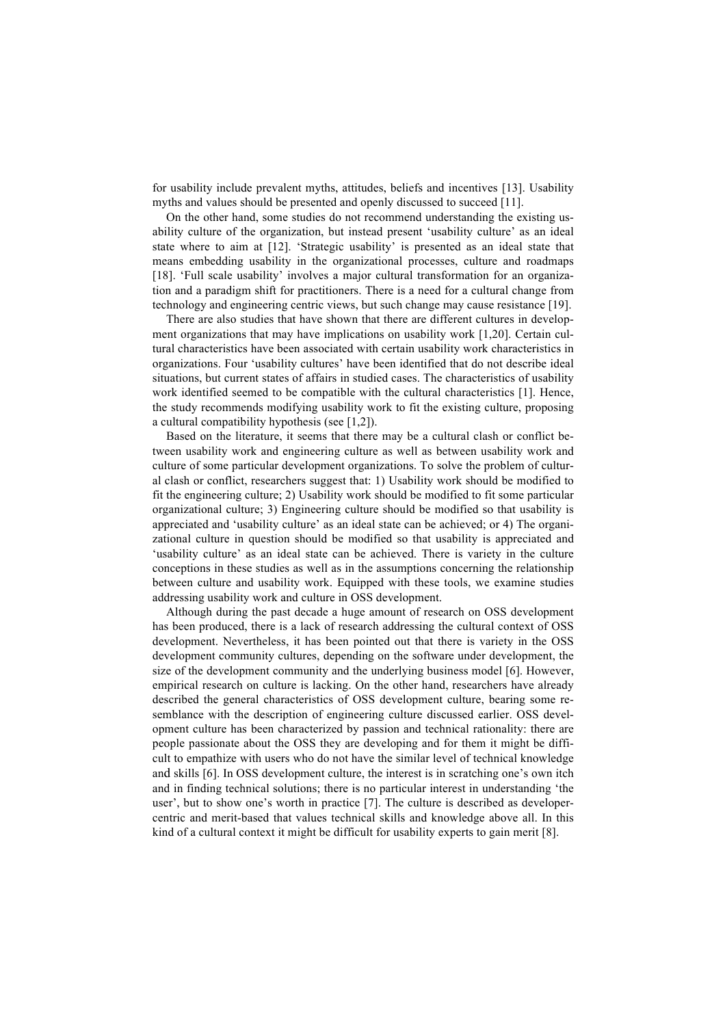for usability include prevalent myths, attitudes, beliefs and incentives [13]. Usability myths and values should be presented and openly discussed to succeed [11].

On the other hand, some studies do not recommend understanding the existing usability culture of the organization, but instead present 'usability culture' as an ideal state where to aim at [12]. 'Strategic usability' is presented as an ideal state that means embedding usability in the organizational processes, culture and roadmaps [18]. 'Full scale usability' involves a major cultural transformation for an organization and a paradigm shift for practitioners. There is a need for a cultural change from technology and engineering centric views, but such change may cause resistance [19].

There are also studies that have shown that there are different cultures in development organizations that may have implications on usability work [1,20]. Certain cultural characteristics have been associated with certain usability work characteristics in organizations. Four 'usability cultures' have been identified that do not describe ideal situations, but current states of affairs in studied cases. The characteristics of usability work identified seemed to be compatible with the cultural characteristics [1]. Hence, the study recommends modifying usability work to fit the existing culture, proposing a cultural compatibility hypothesis (see [1,2]).

Based on the literature, it seems that there may be a cultural clash or conflict between usability work and engineering culture as well as between usability work and culture of some particular development organizations. To solve the problem of cultural clash or conflict, researchers suggest that: 1) Usability work should be modified to fit the engineering culture; 2) Usability work should be modified to fit some particular organizational culture; 3) Engineering culture should be modified so that usability is appreciated and 'usability culture' as an ideal state can be achieved; or 4) The organizational culture in question should be modified so that usability is appreciated and 'usability culture' as an ideal state can be achieved. There is variety in the culture conceptions in these studies as well as in the assumptions concerning the relationship between culture and usability work. Equipped with these tools, we examine studies addressing usability work and culture in OSS development.

Although during the past decade a huge amount of research on OSS development has been produced, there is a lack of research addressing the cultural context of OSS development. Nevertheless, it has been pointed out that there is variety in the OSS development community cultures, depending on the software under development, the size of the development community and the underlying business model [6]. However, empirical research on culture is lacking. On the other hand, researchers have already described the general characteristics of OSS development culture, bearing some resemblance with the description of engineering culture discussed earlier. OSS development culture has been characterized by passion and technical rationality: there are people passionate about the OSS they are developing and for them it might be difficult to empathize with users who do not have the similar level of technical knowledge and skills [6]. In OSS development culture, the interest is in scratching one's own itch and in finding technical solutions; there is no particular interest in understanding 'the user', but to show one's worth in practice [7]. The culture is described as developercentric and merit-based that values technical skills and knowledge above all. In this kind of a cultural context it might be difficult for usability experts to gain merit [8].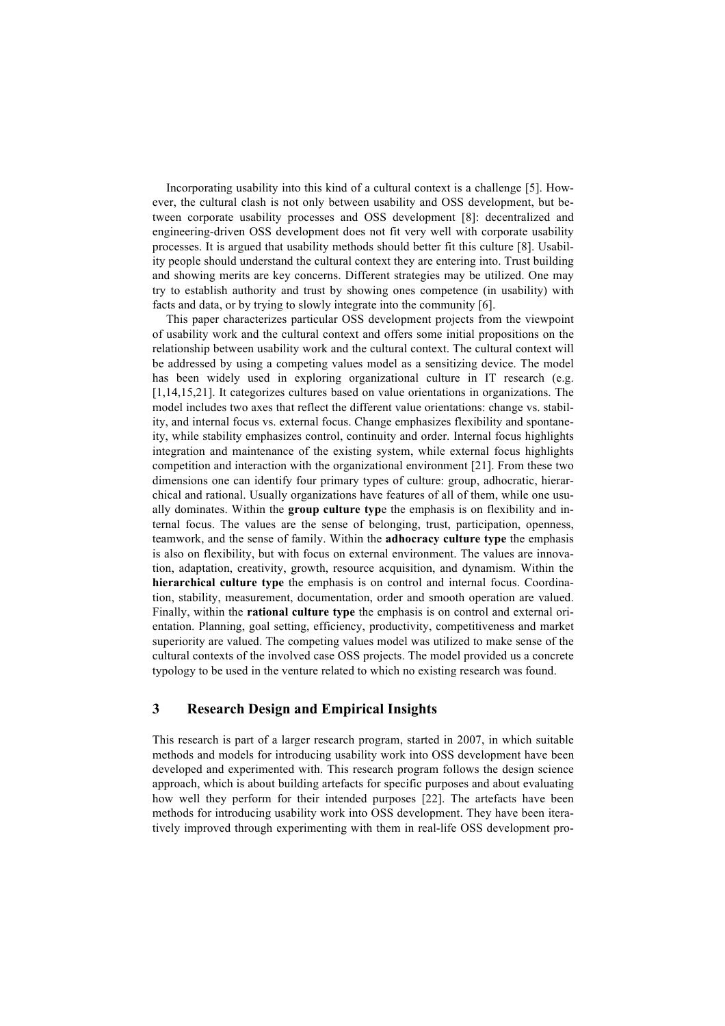Incorporating usability into this kind of a cultural context is a challenge [5]. However, the cultural clash is not only between usability and OSS development, but between corporate usability processes and OSS development [8]: decentralized and engineering-driven OSS development does not fit very well with corporate usability processes. It is argued that usability methods should better fit this culture [8]. Usability people should understand the cultural context they are entering into. Trust building and showing merits are key concerns. Different strategies may be utilized. One may try to establish authority and trust by showing ones competence (in usability) with facts and data, or by trying to slowly integrate into the community [6].

This paper characterizes particular OSS development projects from the viewpoint of usability work and the cultural context and offers some initial propositions on the relationship between usability work and the cultural context. The cultural context will be addressed by using a competing values model as a sensitizing device. The model has been widely used in exploring organizational culture in IT research (e.g. [1,14,15,21]. It categorizes cultures based on value orientations in organizations. The model includes two axes that reflect the different value orientations: change vs. stability, and internal focus vs. external focus. Change emphasizes flexibility and spontaneity, while stability emphasizes control, continuity and order. Internal focus highlights integration and maintenance of the existing system, while external focus highlights competition and interaction with the organizational environment [21]. From these two dimensions one can identify four primary types of culture: group, adhocratic, hierarchical and rational. Usually organizations have features of all of them, while one usually dominates. Within the **group culture typ**e the emphasis is on flexibility and internal focus. The values are the sense of belonging, trust, participation, openness, teamwork, and the sense of family. Within the **adhocracy culture type** the emphasis is also on flexibility, but with focus on external environment. The values are innovation, adaptation, creativity, growth, resource acquisition, and dynamism. Within the **hierarchical culture type** the emphasis is on control and internal focus. Coordination, stability, measurement, documentation, order and smooth operation are valued. Finally, within the **rational culture type** the emphasis is on control and external orientation. Planning, goal setting, efficiency, productivity, competitiveness and market superiority are valued. The competing values model was utilized to make sense of the cultural contexts of the involved case OSS projects. The model provided us a concrete typology to be used in the venture related to which no existing research was found.

# **3 Research Design and Empirical Insights**

This research is part of a larger research program, started in 2007, in which suitable methods and models for introducing usability work into OSS development have been developed and experimented with. This research program follows the design science approach, which is about building artefacts for specific purposes and about evaluating how well they perform for their intended purposes [22]. The artefacts have been methods for introducing usability work into OSS development. They have been iteratively improved through experimenting with them in real-life OSS development pro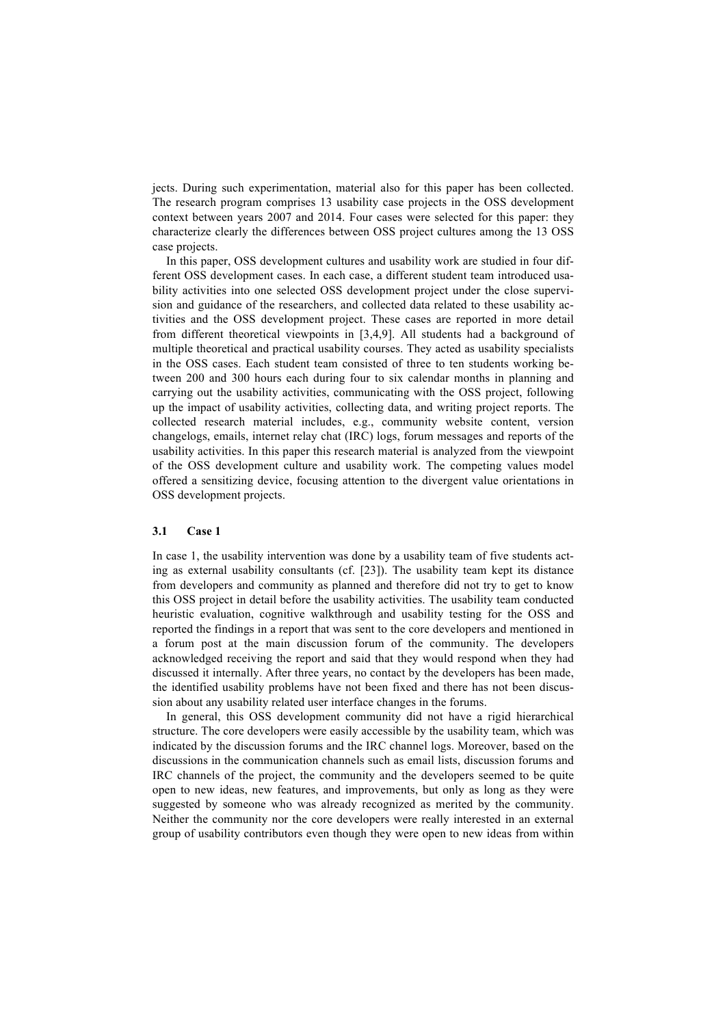jects. During such experimentation, material also for this paper has been collected. The research program comprises 13 usability case projects in the OSS development context between years 2007 and 2014. Four cases were selected for this paper: they characterize clearly the differences between OSS project cultures among the 13 OSS case projects.

In this paper, OSS development cultures and usability work are studied in four different OSS development cases. In each case, a different student team introduced usability activities into one selected OSS development project under the close supervision and guidance of the researchers, and collected data related to these usability activities and the OSS development project. These cases are reported in more detail from different theoretical viewpoints in [3,4,9]. All students had a background of multiple theoretical and practical usability courses. They acted as usability specialists in the OSS cases. Each student team consisted of three to ten students working between 200 and 300 hours each during four to six calendar months in planning and carrying out the usability activities, communicating with the OSS project, following up the impact of usability activities, collecting data, and writing project reports. The collected research material includes, e.g., community website content, version changelogs, emails, internet relay chat (IRC) logs, forum messages and reports of the usability activities. In this paper this research material is analyzed from the viewpoint of the OSS development culture and usability work. The competing values model offered a sensitizing device, focusing attention to the divergent value orientations in OSS development projects.

#### **3.1 Case 1**

In case 1, the usability intervention was done by a usability team of five students acting as external usability consultants (cf. [23]). The usability team kept its distance from developers and community as planned and therefore did not try to get to know this OSS project in detail before the usability activities. The usability team conducted heuristic evaluation, cognitive walkthrough and usability testing for the OSS and reported the findings in a report that was sent to the core developers and mentioned in a forum post at the main discussion forum of the community. The developers acknowledged receiving the report and said that they would respond when they had discussed it internally. After three years, no contact by the developers has been made, the identified usability problems have not been fixed and there has not been discussion about any usability related user interface changes in the forums.

In general, this OSS development community did not have a rigid hierarchical structure. The core developers were easily accessible by the usability team, which was indicated by the discussion forums and the IRC channel logs. Moreover, based on the discussions in the communication channels such as email lists, discussion forums and IRC channels of the project, the community and the developers seemed to be quite open to new ideas, new features, and improvements, but only as long as they were suggested by someone who was already recognized as merited by the community. Neither the community nor the core developers were really interested in an external group of usability contributors even though they were open to new ideas from within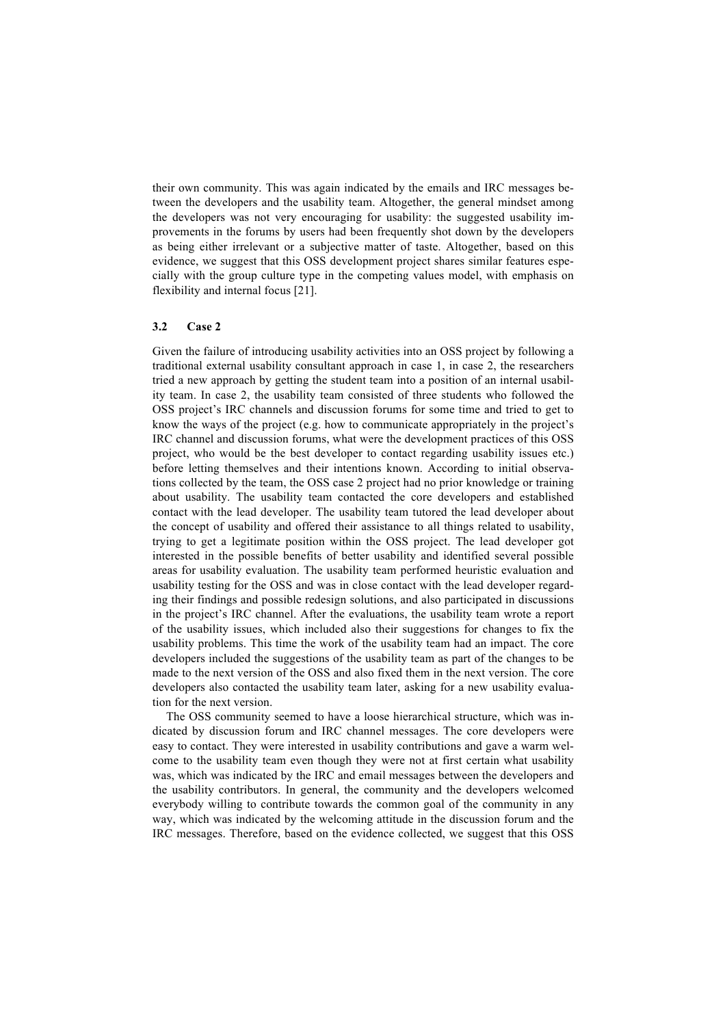their own community. This was again indicated by the emails and IRC messages between the developers and the usability team. Altogether, the general mindset among the developers was not very encouraging for usability: the suggested usability improvements in the forums by users had been frequently shot down by the developers as being either irrelevant or a subjective matter of taste. Altogether, based on this evidence, we suggest that this OSS development project shares similar features especially with the group culture type in the competing values model, with emphasis on flexibility and internal focus [21].

#### **3.2 Case 2**

Given the failure of introducing usability activities into an OSS project by following a traditional external usability consultant approach in case 1, in case 2, the researchers tried a new approach by getting the student team into a position of an internal usability team. In case 2, the usability team consisted of three students who followed the OSS project's IRC channels and discussion forums for some time and tried to get to know the ways of the project (e.g. how to communicate appropriately in the project's IRC channel and discussion forums, what were the development practices of this OSS project, who would be the best developer to contact regarding usability issues etc.) before letting themselves and their intentions known. According to initial observations collected by the team, the OSS case 2 project had no prior knowledge or training about usability. The usability team contacted the core developers and established contact with the lead developer. The usability team tutored the lead developer about the concept of usability and offered their assistance to all things related to usability, trying to get a legitimate position within the OSS project. The lead developer got interested in the possible benefits of better usability and identified several possible areas for usability evaluation. The usability team performed heuristic evaluation and usability testing for the OSS and was in close contact with the lead developer regarding their findings and possible redesign solutions, and also participated in discussions in the project's IRC channel. After the evaluations, the usability team wrote a report of the usability issues, which included also their suggestions for changes to fix the usability problems. This time the work of the usability team had an impact. The core developers included the suggestions of the usability team as part of the changes to be made to the next version of the OSS and also fixed them in the next version. The core developers also contacted the usability team later, asking for a new usability evaluation for the next version.

The OSS community seemed to have a loose hierarchical structure, which was indicated by discussion forum and IRC channel messages. The core developers were easy to contact. They were interested in usability contributions and gave a warm welcome to the usability team even though they were not at first certain what usability was, which was indicated by the IRC and email messages between the developers and the usability contributors. In general, the community and the developers welcomed everybody willing to contribute towards the common goal of the community in any way, which was indicated by the welcoming attitude in the discussion forum and the IRC messages. Therefore, based on the evidence collected, we suggest that this OSS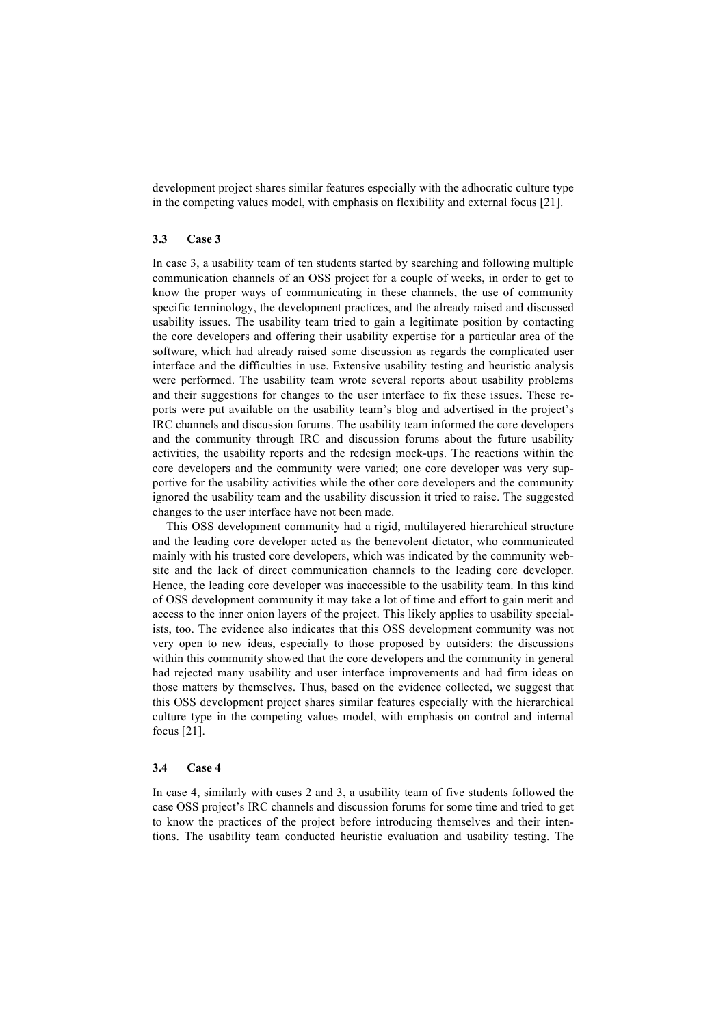development project shares similar features especially with the adhocratic culture type in the competing values model, with emphasis on flexibility and external focus [21].

#### **3.3 Case 3**

In case 3, a usability team of ten students started by searching and following multiple communication channels of an OSS project for a couple of weeks, in order to get to know the proper ways of communicating in these channels, the use of community specific terminology, the development practices, and the already raised and discussed usability issues. The usability team tried to gain a legitimate position by contacting the core developers and offering their usability expertise for a particular area of the software, which had already raised some discussion as regards the complicated user interface and the difficulties in use. Extensive usability testing and heuristic analysis were performed. The usability team wrote several reports about usability problems and their suggestions for changes to the user interface to fix these issues. These reports were put available on the usability team's blog and advertised in the project's IRC channels and discussion forums. The usability team informed the core developers and the community through IRC and discussion forums about the future usability activities, the usability reports and the redesign mock-ups. The reactions within the core developers and the community were varied; one core developer was very supportive for the usability activities while the other core developers and the community ignored the usability team and the usability discussion it tried to raise. The suggested changes to the user interface have not been made.

This OSS development community had a rigid, multilayered hierarchical structure and the leading core developer acted as the benevolent dictator, who communicated mainly with his trusted core developers, which was indicated by the community website and the lack of direct communication channels to the leading core developer. Hence, the leading core developer was inaccessible to the usability team. In this kind of OSS development community it may take a lot of time and effort to gain merit and access to the inner onion layers of the project. This likely applies to usability specialists, too. The evidence also indicates that this OSS development community was not very open to new ideas, especially to those proposed by outsiders: the discussions within this community showed that the core developers and the community in general had rejected many usability and user interface improvements and had firm ideas on those matters by themselves. Thus, based on the evidence collected, we suggest that this OSS development project shares similar features especially with the hierarchical culture type in the competing values model, with emphasis on control and internal focus [21].

#### **3.4 Case 4**

In case 4, similarly with cases 2 and 3, a usability team of five students followed the case OSS project's IRC channels and discussion forums for some time and tried to get to know the practices of the project before introducing themselves and their intentions. The usability team conducted heuristic evaluation and usability testing. The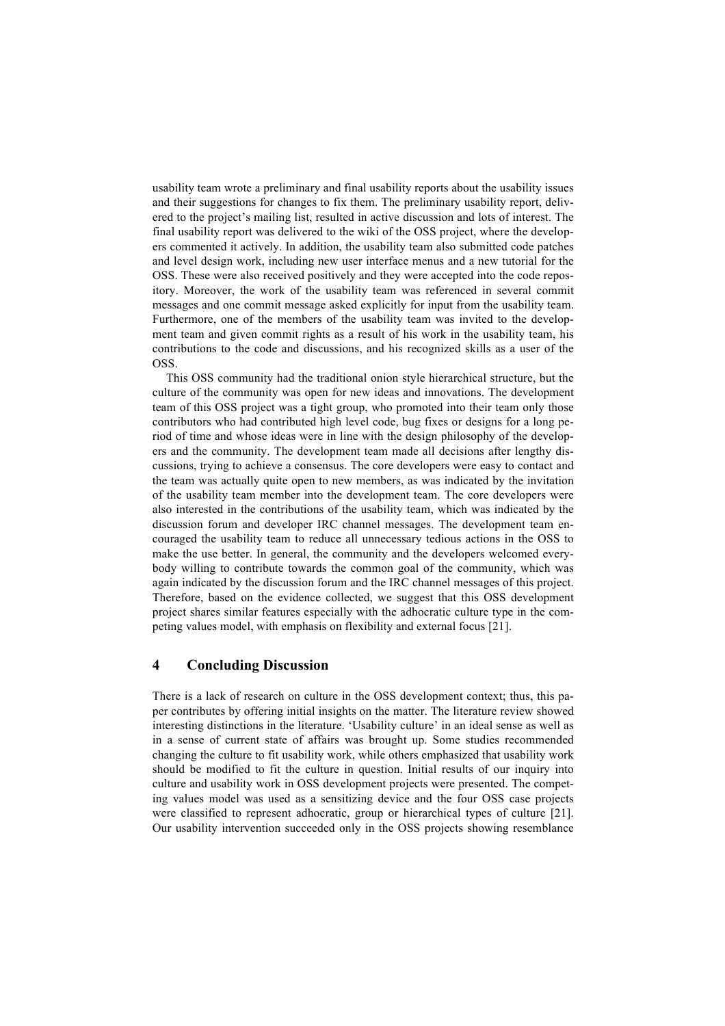usability team wrote a preliminary and final usability reports about the usability issues and their suggestions for changes to fix them. The preliminary usability report, delivered to the project's mailing list, resulted in active discussion and lots of interest. The final usability report was delivered to the wiki of the OSS project, where the developers commented it actively. In addition, the usability team also submitted code patches and level design work, including new user interface menus and a new tutorial for the OSS. These were also received positively and they were accepted into the code repository. Moreover, the work of the usability team was referenced in several commit messages and one commit message asked explicitly for input from the usability team. Furthermore, one of the members of the usability team was invited to the development team and given commit rights as a result of his work in the usability team, his contributions to the code and discussions, and his recognized skills as a user of the OSS.

This OSS community had the traditional onion style hierarchical structure, but the culture of the community was open for new ideas and innovations. The development team of this OSS project was a tight group, who promoted into their team only those contributors who had contributed high level code, bug fixes or designs for a long period of time and whose ideas were in line with the design philosophy of the developers and the community. The development team made all decisions after lengthy discussions, trying to achieve a consensus. The core developers were easy to contact and the team was actually quite open to new members, as was indicated by the invitation of the usability team member into the development team. The core developers were also interested in the contributions of the usability team, which was indicated by the discussion forum and developer IRC channel messages. The development team encouraged the usability team to reduce all unnecessary tedious actions in the OSS to make the use better. In general, the community and the developers welcomed everybody willing to contribute towards the common goal of the community, which was again indicated by the discussion forum and the IRC channel messages of this project. Therefore, based on the evidence collected, we suggest that this OSS development project shares similar features especially with the adhocratic culture type in the competing values model, with emphasis on flexibility and external focus [21].

### **4 Concluding Discussion**

There is a lack of research on culture in the OSS development context; thus, this paper contributes by offering initial insights on the matter. The literature review showed interesting distinctions in the literature. 'Usability culture' in an ideal sense as well as in a sense of current state of affairs was brought up. Some studies recommended changing the culture to fit usability work, while others emphasized that usability work should be modified to fit the culture in question. Initial results of our inquiry into culture and usability work in OSS development projects were presented. The competing values model was used as a sensitizing device and the four OSS case projects were classified to represent adhocratic, group or hierarchical types of culture [21]. Our usability intervention succeeded only in the OSS projects showing resemblance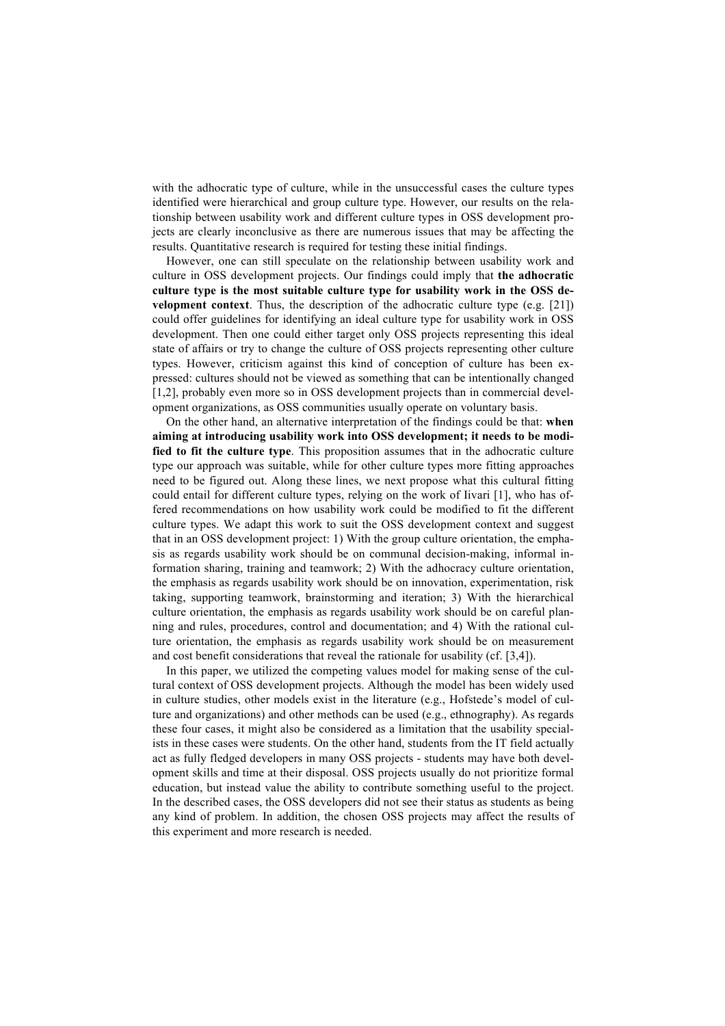with the adhocratic type of culture, while in the unsuccessful cases the culture types identified were hierarchical and group culture type. However, our results on the relationship between usability work and different culture types in OSS development projects are clearly inconclusive as there are numerous issues that may be affecting the results. Quantitative research is required for testing these initial findings.

However, one can still speculate on the relationship between usability work and culture in OSS development projects. Our findings could imply that **the adhocratic culture type is the most suitable culture type for usability work in the OSS development context**. Thus, the description of the adhocratic culture type (e.g. [21]) could offer guidelines for identifying an ideal culture type for usability work in OSS development. Then one could either target only OSS projects representing this ideal state of affairs or try to change the culture of OSS projects representing other culture types. However, criticism against this kind of conception of culture has been expressed: cultures should not be viewed as something that can be intentionally changed [1,2], probably even more so in OSS development projects than in commercial development organizations, as OSS communities usually operate on voluntary basis.

On the other hand, an alternative interpretation of the findings could be that: **when aiming at introducing usability work into OSS development; it needs to be modified to fit the culture type**. This proposition assumes that in the adhocratic culture type our approach was suitable, while for other culture types more fitting approaches need to be figured out. Along these lines, we next propose what this cultural fitting could entail for different culture types, relying on the work of Iivari [1], who has offered recommendations on how usability work could be modified to fit the different culture types. We adapt this work to suit the OSS development context and suggest that in an OSS development project: 1) With the group culture orientation, the emphasis as regards usability work should be on communal decision-making, informal information sharing, training and teamwork; 2) With the adhocracy culture orientation, the emphasis as regards usability work should be on innovation, experimentation, risk taking, supporting teamwork, brainstorming and iteration; 3) With the hierarchical culture orientation, the emphasis as regards usability work should be on careful planning and rules, procedures, control and documentation; and 4) With the rational culture orientation, the emphasis as regards usability work should be on measurement and cost benefit considerations that reveal the rationale for usability (cf. [3,4]).

In this paper, we utilized the competing values model for making sense of the cultural context of OSS development projects. Although the model has been widely used in culture studies, other models exist in the literature (e.g., Hofstede's model of culture and organizations) and other methods can be used (e.g., ethnography). As regards these four cases, it might also be considered as a limitation that the usability specialists in these cases were students. On the other hand, students from the IT field actually act as fully fledged developers in many OSS projects - students may have both development skills and time at their disposal. OSS projects usually do not prioritize formal education, but instead value the ability to contribute something useful to the project. In the described cases, the OSS developers did not see their status as students as being any kind of problem. In addition, the chosen OSS projects may affect the results of this experiment and more research is needed.